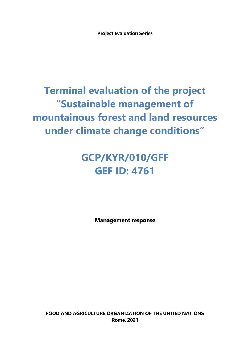**Project Evaluation Series**

## **Terminal evaluation of the project "Sustainable management of mountainous forest and land resources under climate change conditions"**

## **GCP/KYR/010/GFF GEF ID: 4761**

**Management response**

**FOOD AND AGRICULTURE ORGANIZATION OF THE UNITED NATIONS Rome, 2021**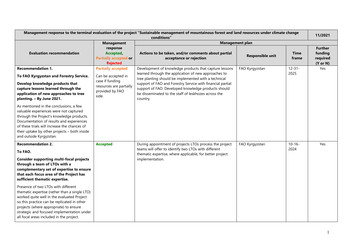| Management response to the terminal evaluation of the project "Sustainable management of mountainous forest and land resources under climate change<br>conditions"                                                                                                                                                                                                                                                                    |                                                                                                                           |                                                                                                                                                                                                                                                                                                                                                                 |                         |                      |                                                              |
|---------------------------------------------------------------------------------------------------------------------------------------------------------------------------------------------------------------------------------------------------------------------------------------------------------------------------------------------------------------------------------------------------------------------------------------|---------------------------------------------------------------------------------------------------------------------------|-----------------------------------------------------------------------------------------------------------------------------------------------------------------------------------------------------------------------------------------------------------------------------------------------------------------------------------------------------------------|-------------------------|----------------------|--------------------------------------------------------------|
|                                                                                                                                                                                                                                                                                                                                                                                                                                       | <b>Management</b><br><b>Management plan</b>                                                                               |                                                                                                                                                                                                                                                                                                                                                                 |                         |                      |                                                              |
| <b>Evaluation recommendation</b>                                                                                                                                                                                                                                                                                                                                                                                                      | response<br>Accepted,<br><b>Partially accepted or</b><br><b>Rejected</b>                                                  | Actions to be taken, and/or comments about partial<br>acceptance or rejection                                                                                                                                                                                                                                                                                   | <b>Responsible unit</b> | <b>Time</b><br>frame | <b>Further</b><br>funding<br>required<br>$(Y \text{ or } N)$ |
| <b>Recommendation 1.</b><br>To FAO Kyrgyzstan and Forestry Service.<br>Develop knowledge products that<br>capture lessons learned through the<br>application of new approaches to tree<br>planting. - By June 2021.<br>As mentioned in the conclusions, a few                                                                                                                                                                         | <b>Partially accepted</b><br>Can be accepted in<br>case if funding<br>resources are partially<br>provided by FAO<br>side. | Development of knowledge products that capture lessons<br>learned through the application of new approaches to<br>tree planting should be implemented with a technical<br>support of FAO and Forestry Service with financial partial<br>support of FAO. Developed knowledge products should<br>be disseminated to the staff of leskhozes across the<br>country. | FAO Kyrgyzstan          | $12 - 31 -$<br>2025  | Yes                                                          |
| valuable experiences were not captured<br>through the Project's knowledge products.<br>Documentation of results and experiences<br>of these trials will increase the chances of<br>their uptake by other projects - both inside<br>and outside Kyrgyzstan.                                                                                                                                                                            |                                                                                                                           |                                                                                                                                                                                                                                                                                                                                                                 |                         |                      |                                                              |
| <b>Recommendation 2.</b><br>To FAO.<br><b>Consider supporting multi-focal projects</b><br>through a team of LTOs with a<br>complementary set of expertise to ensure<br>that each focus area of the Project has<br>sufficient thematic expertise.<br>Presence of two LTOs with different<br>thematic expertise (rather than a single LTO)<br>worked quite well in the evaluated Project<br>so this practice can be replicated in other | <b>Accepted</b>                                                                                                           | During appointment of projects LTOs process the project<br>teams will offer to identify two LTOs with different<br>thematic expertise, where applicable, for better project<br>implementation.                                                                                                                                                                  | FAO Kyrgyzstan          | $10 - 16 -$<br>2024  | Yes                                                          |
| projects (where appropriate) to ensure<br>strategic and focused implementation under<br>all focal areas included in the project.                                                                                                                                                                                                                                                                                                      |                                                                                                                           |                                                                                                                                                                                                                                                                                                                                                                 |                         |                      |                                                              |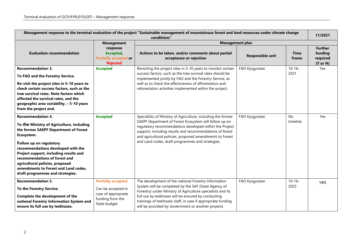| Management response to the terminal evaluation of the project "Sustainable management of mountainous forest and land resources under climate change<br>conditions"                                                                                                                                                                                                                      |                                                                                                             |                                                                                                                                                                                                                                                                                                                                                               |                         |                      |                                                              |  |
|-----------------------------------------------------------------------------------------------------------------------------------------------------------------------------------------------------------------------------------------------------------------------------------------------------------------------------------------------------------------------------------------|-------------------------------------------------------------------------------------------------------------|---------------------------------------------------------------------------------------------------------------------------------------------------------------------------------------------------------------------------------------------------------------------------------------------------------------------------------------------------------------|-------------------------|----------------------|--------------------------------------------------------------|--|
|                                                                                                                                                                                                                                                                                                                                                                                         | <b>Management</b>                                                                                           | <b>Management plan</b>                                                                                                                                                                                                                                                                                                                                        |                         |                      |                                                              |  |
| <b>Evaluation recommendation</b>                                                                                                                                                                                                                                                                                                                                                        | response<br>Accepted,<br><b>Partially accepted or</b><br><b>Rejected</b>                                    | Actions to be taken, and/or comments about partial<br>acceptance or rejection                                                                                                                                                                                                                                                                                 | <b>Responsible unit</b> | <b>Time</b><br>frame | <b>Further</b><br>funding<br>required<br>$(Y \text{ or } N)$ |  |
| <b>Recommendation 3.</b>                                                                                                                                                                                                                                                                                                                                                                | <b>Accepted</b>                                                                                             | Revisiting the project sites in 5-10 years to monitor certain                                                                                                                                                                                                                                                                                                 | FAO Kyrgyzstan          | $10 - 16 -$          | Yes                                                          |  |
| To FAO and the Forestry Service.                                                                                                                                                                                                                                                                                                                                                        |                                                                                                             | success factors, such as the tree survival rates should be<br>implemented jointly by FAO and the Forestry Service, as                                                                                                                                                                                                                                         |                         | 2031                 |                                                              |  |
| Re-visit the project sites in 5-10 years to                                                                                                                                                                                                                                                                                                                                             |                                                                                                             | well as to check the effectiveness of afforestation and                                                                                                                                                                                                                                                                                                       |                         |                      |                                                              |  |
| check certain success factors, such as the                                                                                                                                                                                                                                                                                                                                              |                                                                                                             | reforestation activities implemented within the project.                                                                                                                                                                                                                                                                                                      |                         |                      |                                                              |  |
| tree survival rates. Note factors which<br>affected the survival rates, and the                                                                                                                                                                                                                                                                                                         |                                                                                                             |                                                                                                                                                                                                                                                                                                                                                               |                         |                      |                                                              |  |
| geographic area variability. - 5-10 years                                                                                                                                                                                                                                                                                                                                               |                                                                                                             |                                                                                                                                                                                                                                                                                                                                                               |                         |                      |                                                              |  |
| from the project end.                                                                                                                                                                                                                                                                                                                                                                   |                                                                                                             |                                                                                                                                                                                                                                                                                                                                                               |                         |                      |                                                              |  |
|                                                                                                                                                                                                                                                                                                                                                                                         |                                                                                                             |                                                                                                                                                                                                                                                                                                                                                               |                         | <b>No</b>            |                                                              |  |
| <b>Recommendation 4.</b><br>To the Ministry of Agriculture, including<br>the former SAEPF Department of Forest<br>Ecosystem.<br>Follow up on regulatory<br>recommendations developed with the<br>Project support, including results and<br>recommendations of forest and<br>agricultural policies, proposed<br>amendments to Forest and Land codes,<br>draft programmes and strategies. | <b>Accepted</b>                                                                                             | Specialists of Ministry of Agriculture, including the former<br>SAEPF Department of Forest Ecosystem will follow up on<br>regulatory recommendations developed within the Project<br>support, including results and recommendations of forest<br>and agricultural policies, proposed amendments to Forest<br>and Land codes, draft programmes and strategies. | FAO Kyrgyzstan          | timeline             | Yes                                                          |  |
| <b>Recommendation 5.</b><br>To the Forestry Service.<br>Complete the development of the<br>national Forestry Information System and<br>ensure its full use by leskhozes.                                                                                                                                                                                                                | <b>Partially accepted</b><br>Can be accepted in<br>case of appropriate<br>funding from the<br>State budget. | The development of the national Forestry Information<br>System will be completed by the SAF (State Agency of<br>Forestry) under Ministry of Agriculture specialists and its<br>full use by leskhozes will be ensured by conducting<br>trainings of leskhozes staff, in case if appropriate funding<br>will be provided by Government or another projects      | FAO Kyrgyzstan          | $10 - 16 -$<br>2025  | <b>Yes</b>                                                   |  |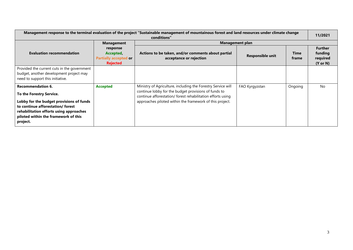| Management response to the terminal evaluation of the project "Sustainable management of mountainous forest and land resources under climate change<br>conditions"                                                                  |                                                                          |                                                                                                                                                                                                                                                 |                  |               |                                                              |  |
|-------------------------------------------------------------------------------------------------------------------------------------------------------------------------------------------------------------------------------------|--------------------------------------------------------------------------|-------------------------------------------------------------------------------------------------------------------------------------------------------------------------------------------------------------------------------------------------|------------------|---------------|--------------------------------------------------------------|--|
|                                                                                                                                                                                                                                     | <b>Management</b>                                                        | Management plan                                                                                                                                                                                                                                 |                  |               |                                                              |  |
| <b>Evaluation recommendation</b>                                                                                                                                                                                                    | response<br>Accepted,<br><b>Partially accepted or</b><br><b>Rejected</b> | Actions to be taken, and/or comments about partial<br>acceptance or rejection                                                                                                                                                                   | Responsible unit | Time<br>frame | <b>Further</b><br>funding<br>required<br>$(Y \text{ or } N)$ |  |
| Provided the current cuts in the government<br>budget, another development project may<br>need to support this initiative.                                                                                                          |                                                                          |                                                                                                                                                                                                                                                 |                  |               |                                                              |  |
| <b>Recommendation 6.</b><br>To the Forestry Service.<br>Lobby for the budget provisions of funds<br>to continue afforestation/forest<br>rehabilitation efforts using approaches<br>piloted within the framework of this<br>project. | <b>Accepted</b>                                                          | Ministry of Agriculture, including the Forestry Service will<br>continue lobby for the budget provisions of funds to<br>continue afforestation/ forest rehabilitation efforts using<br>approaches piloted within the framework of this project. | FAO Kyrgyzstan   | Ongoing       | <b>No</b>                                                    |  |